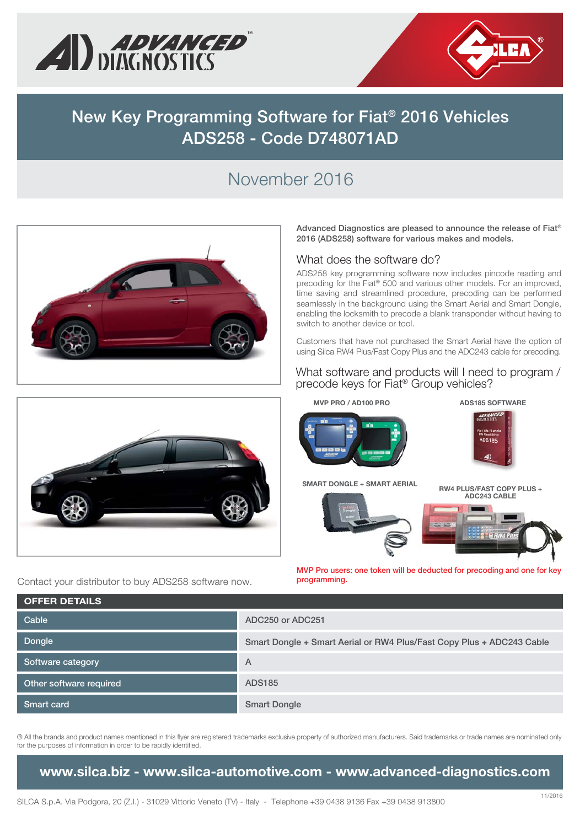



## **New Key Programming Software for Fiat® 2016 Vehicles ADS258 - Code D748071AD**

# November 2016



**Advanced Diagnostics are pleased to announce the release of Fiat® 2016 (ADS258) software for various makes and models.** 

#### What does the software do?

ADS258 key programming software now includes pincode reading and precoding for the Fiat® 500 and various other models. For an improved, time saving and streamlined procedure, precoding can be performed seamlessly in the background using the Smart Aerial and Smart Dongle, enabling the locksmith to precode a blank transponder without having to switch to another device or tool.

Customers that have not purchased the Smart Aerial have the option of using Silca RW4 Plus/Fast Copy Plus and the ADC243 cable for precoding.

#### What software and products will I need to program / precode keys for Fiat® Group vehicles?



Contact your distributor to buy ADS258 software now.





**RT DON RW4 PLUS/FAST COPY PLUS + ADC243 CABLE ADC243 C**

**ADS185 SOFTWARE**

Anexe



**MVP Pro users: one token will be deducted for precoding and one for key programming.**

| <b>OFFER DETAILS</b>    |                                                                       |
|-------------------------|-----------------------------------------------------------------------|
| Cable                   | ADC250 or ADC251                                                      |
| <b>Dongle</b>           | Smart Dongle + Smart Aerial or RW4 Plus/Fast Copy Plus + ADC243 Cable |
| Software category       | $\overline{A}$                                                        |
| Other software required | <b>ADS185</b>                                                         |
| <b>Smart card</b>       | <b>Smart Dongle</b>                                                   |

® All the brands and product names mentioned in this flyer are registered trademarks exclusive property of authorized manufacturers. Said trademarks or trade names are nominated only for the purposes of information in order to be rapidly identified.

### **www.silca.biz - www.silca-automotive.com - www.advanced-diagnostics.com**